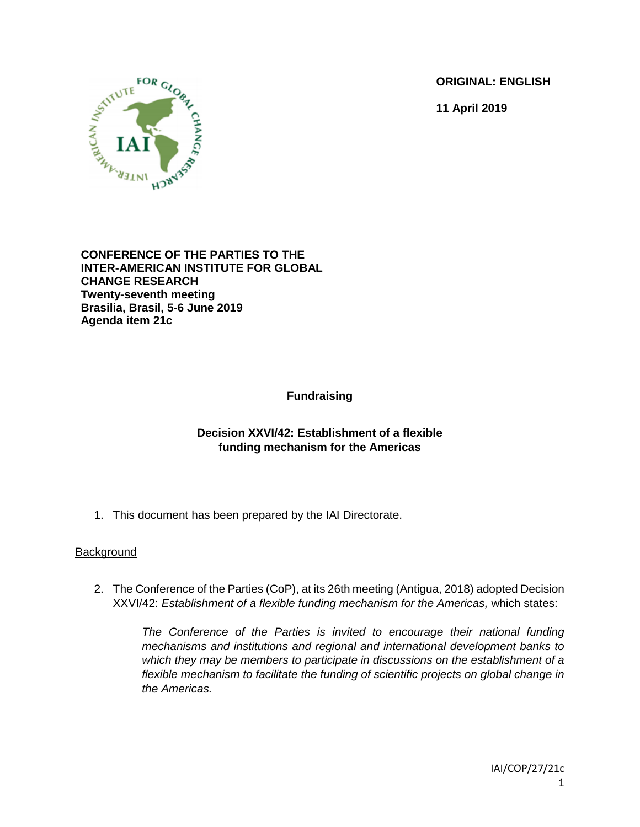**ORIGINAL: ENGLISH**

**11 April 2019**



**CONFERENCE OF THE PARTIES TO THE INTER-AMERICAN INSTITUTE FOR GLOBAL CHANGE RESEARCH Twenty-seventh meeting Brasilia, Brasil, 5-6 June 2019 Agenda item 21c**

**Fundraising**

## **Decision XXVI/42: Establishment of a flexible funding mechanism for the Americas**

1. This document has been prepared by the IAI Directorate.

## **Background**

2. The Conference of the Parties (CoP), at its 26th meeting (Antigua, 2018) adopted Decision XXVI/42: *Establishment of a flexible funding mechanism for the Americas,* which states:

*The Conference of the Parties is invited to encourage their national funding mechanisms and institutions and regional and international development banks to which they may be members to participate in discussions on the establishment of a flexible mechanism to facilitate the funding of scientific projects on global change in the Americas.*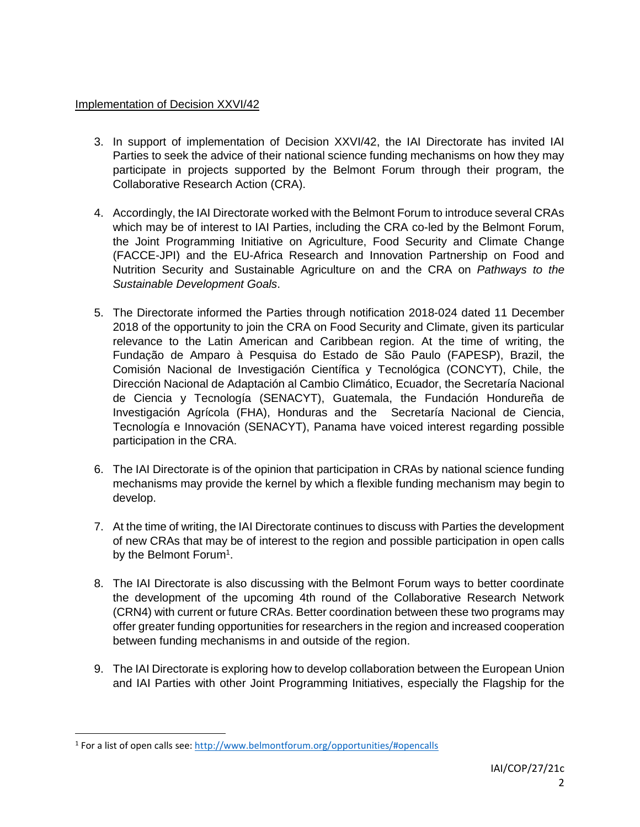## Implementation of Decision XXVI/42

- 3. In support of implementation of Decision XXVI/42, the IAI Directorate has invited IAI Parties to seek the advice of their national science funding mechanisms on how they may participate in projects supported by the Belmont Forum through their program, the Collaborative Research Action (CRA).
- 4. Accordingly, the IAI Directorate worked with the Belmont Forum to introduce several CRAs which may be of interest to IAI Parties, including the CRA co-led by the Belmont Forum, the Joint Programming Initiative on Agriculture, Food Security and Climate Change (FACCE-JPI) and the EU-Africa Research and Innovation Partnership on Food and Nutrition Security and Sustainable Agriculture on and the CRA on *Pathways to the Sustainable Development Goals*.
- 5. The Directorate informed the Parties through notification 2018-024 dated 11 December 2018 of the opportunity to join the CRA on Food Security and Climate, given its particular relevance to the Latin American and Caribbean region. At the time of writing, the Fundação de Amparo à Pesquisa do Estado de São Paulo (FAPESP), Brazil, the Comisión Nacional de Investigación Científica y Tecnológica (CONCYT), Chile, the Dirección Nacional de Adaptación al Cambio Climático, Ecuador, the Secretaría Nacional de Ciencia y Tecnología (SENACYT), Guatemala, the Fundación Hondureña de Investigación Agrícola (FHA), Honduras and the Secretaría Nacional de Ciencia, Tecnología e Innovación (SENACYT), Panama have voiced interest regarding possible participation in the CRA.
- 6. The IAI Directorate is of the opinion that participation in CRAs by national science funding mechanisms may provide the kernel by which a flexible funding mechanism may begin to develop.
- 7. At the time of writing, the IAI Directorate continues to discuss with Parties the development of new CRAs that may be of interest to the region and possible participation in open calls by the Belmont Forum<sup>1</sup>.
- 8. The IAI Directorate is also discussing with the Belmont Forum ways to better coordinate the development of the upcoming 4th round of the Collaborative Research Network (CRN4) with current or future CRAs. Better coordination between these two programs may offer greater funding opportunities for researchers in the region and increased cooperation between funding mechanisms in and outside of the region.
- 9. The IAI Directorate is exploring how to develop collaboration between the European Union and IAI Parties with other Joint Programming Initiatives, especially the Flagship for the

 $\overline{\phantom{a}}$ 

<sup>&</sup>lt;sup>1</sup> For a list of open calls see[: http://www.belmontforum.org/opportunities/#opencalls](http://www.belmontforum.org/opportunities/#opencalls)